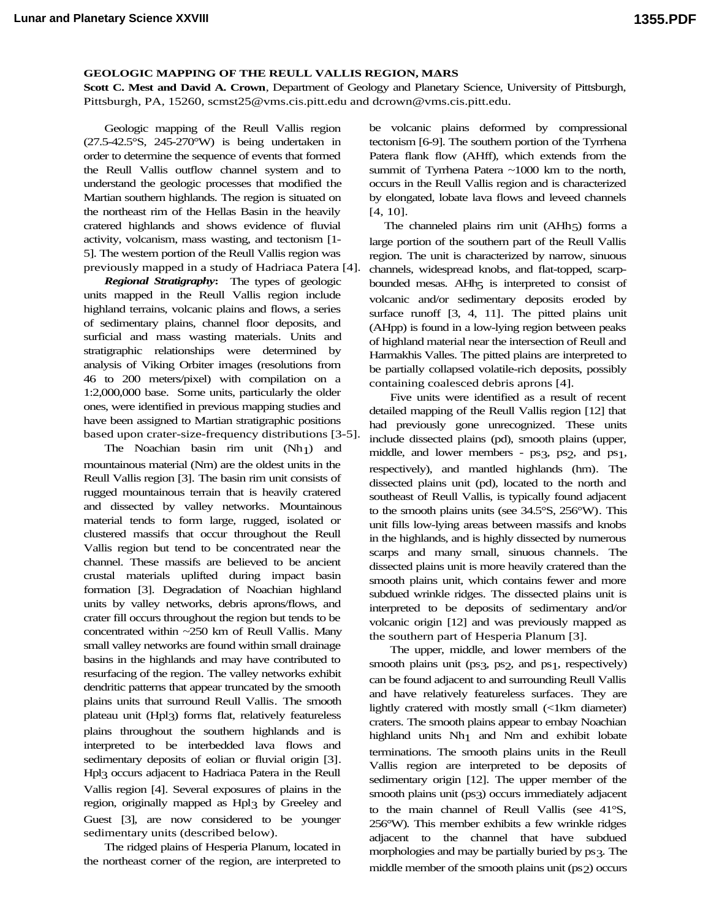## **GEOLOGIC MAPPING OF THE REULL VALLIS REGION, MARS** .

**Scott C. Mest and David A. Crown**, Department of Geology and Planetary Science, University of Pittsburgh, Pittsburgh, PA, 15260, scmst25@vms.cis.pitt.edu and dcrown@vms.cis.pitt.edu.

Geologic mapping of the Reull Vallis region (27.5-42.5°S, 245-270°W) is being undertaken in order to determine the sequence of events that formed the Reull Vallis outflow channel system and to understand the geologic processes that modified the Martian southern highlands. The region is situated on the northeast rim of the Hellas Basin in the heavily cratered highlands and shows evidence of fluvial activity, volcanism, mass wasting, and tectonism [1- 5]. The western portion of the Reull Vallis region was previously mapped in a study of Hadriaca Patera [4].

*Regional Stratigraphy***:** The types of geologic units mapped in the Reull Vallis region include highland terrains, volcanic plains and flows, a series of sedimentary plains, channel floor deposits, and surficial and mass wasting materials. Units and stratigraphic relationships were determined by analysis of Viking Orbiter images (resolutions from 46 to 200 meters/pixel) with compilation on a 1:2,000,000 base. Some units, particularly the older ones, were identified in previous mapping studies and have been assigned to Martian stratigraphic positions based upon crater-size-frequency distributions [3-5].

The Noachian basin rim unit (Nh1) and mountainous material (Nm) are the oldest units in the Reull Vallis region [3]. The basin rim unit consists of rugged mountainous terrain that is heavily cratered and dissected by valley networks. Mountainous material tends to form large, rugged, isolated or clustered massifs that occur throughout the Reull Vallis region but tend to be concentrated near the channel. These massifs are believed to be ancient crustal materials uplifted during impact basin formation [3]. Degradation of Noachian highland units by valley networks, debris aprons/flows, and crater fill occurs throughout the region but tends to be concentrated within ~250 km of Reull Vallis. Many small valley networks are found within small drainage basins in the highlands and may have contributed to resurfacing of the region. The valley networks exhibit dendritic patterns that appear truncated by the smooth plains units that surround Reull Vallis. The smooth plateau unit (Hpl3) forms flat, relatively featureless plains throughout the southern highlands and is interpreted to be interbedded lava flows and sedimentary deposits of eolian or fluvial origin [3]. Hpl3 occurs adjacent to Hadriaca Patera in the Reull Vallis region [4]. Several exposures of plains in the region, originally mapped as Hpl3 by Greeley and Guest [3], are now considered to be younger sedimentary units (described below).

The ridged plains of Hesperia Planum, located in the northeast corner of the region, are interpreted to

be volcanic plains deformed by compressional tectonism [6-9]. The southern portion of the Tyrrhena Patera flank flow (AHff), which extends from the summit of Tyrrhena Patera ~1000 km to the north, occurs in the Reull Vallis region and is characterized by elongated, lobate lava flows and leveed channels [4, 10].

The channeled plains rim unit (AHh5) forms a large portion of the southern part of the Reull Vallis region. The unit is characterized by narrow, sinuous channels, widespread knobs, and flat-topped, scarpbounded mesas. AHh<sub>5</sub> is interpreted to consist of volcanic and/or sedimentary deposits eroded by surface runoff [3, 4, 11]. The pitted plains unit (AHpp) is found in a low-lying region between peaks of highland material near the intersection of Reull and Harmakhis Valles. The pitted plains are interpreted to be partially collapsed volatile-rich deposits, possibly containing coalesced debris aprons [4].

Five units were identified as a result of recent detailed mapping of the Reull Vallis region [12] that had previously gone unrecognized. These units include dissected plains (pd), smooth plains (upper, middle, and lower members - ps3, ps2, and ps1, respectively), and mantled highlands (hm). The dissected plains unit (pd), located to the north and southeast of Reull Vallis, is typically found adjacent to the smooth plains units (see 34.5°S, 256°W). This unit fills low-lying areas between massifs and knobs in the highlands, and is highly dissected by numerous scarps and many small, sinuous channels. The dissected plains unit is more heavily cratered than the smooth plains unit, which contains fewer and more subdued wrinkle ridges. The dissected plains unit is interpreted to be deposits of sedimentary and/or volcanic origin [12] and was previously mapped as the southern part of Hesperia Planum [3].

The upper, middle, and lower members of the smooth plains unit (ps3, ps2, and ps1, respectively) can be found adjacent to and surrounding Reull Vallis and have relatively featureless surfaces. They are lightly cratered with mostly small (<1km diameter) craters. The smooth plains appear to embay Noachian highland units Nh1 and Nm and exhibit lobate terminations. The smooth plains units in the Reull Vallis region are interpreted to be deposits of sedimentary origin [12]. The upper member of the smooth plains unit (ps3) occurs immediately adjacent to the main channel of Reull Vallis (see 41°S, 256°W). This member exhibits a few wrinkle ridges adjacent to the channel that have subdued morphologies and may be partially buried by ps3. The middle member of the smooth plains unit (ps2) occurs